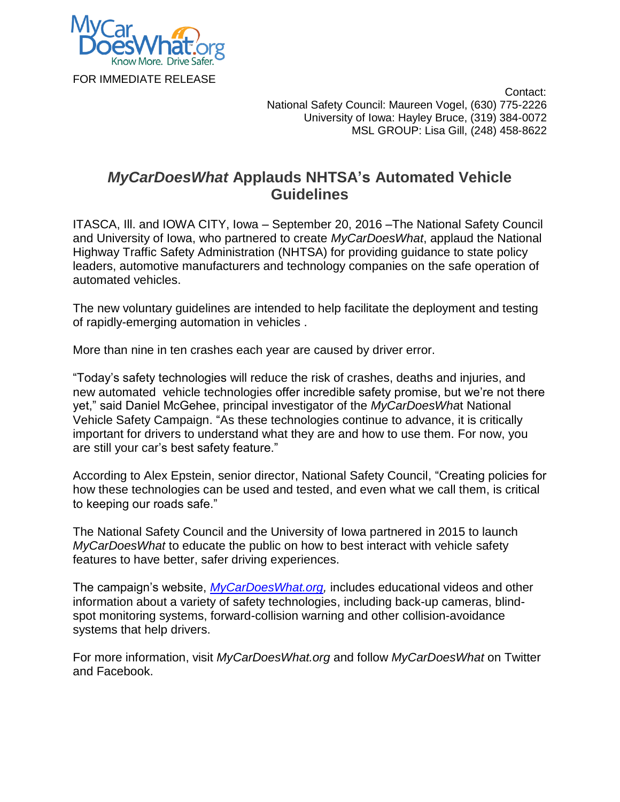

 Contact: National Safety Council: Maureen Vogel, (630) 775-2226 University of Iowa: Hayley Bruce, (319) 384-0072 MSL GROUP: Lisa Gill, (248) 458-8622

## *MyCarDoesWhat* **Applauds NHTSA's Automated Vehicle Guidelines**

ITASCA, Ill. and IOWA CITY, Iowa – September 20, 2016 –The National Safety Council and University of Iowa, who partnered to create *MyCarDoesWhat*, applaud the National Highway Traffic Safety Administration (NHTSA) for providing guidance to state policy leaders, automotive manufacturers and technology companies on the safe operation of automated vehicles.

The new voluntary guidelines are intended to help facilitate the deployment and testing of rapidly-emerging automation in vehicles .

More than nine in ten crashes each year are caused by driver error.

"Today's safety technologies will reduce the risk of crashes, deaths and injuries, and new automated vehicle technologies offer incredible safety promise, but we're not there yet," said Daniel McGehee, principal investigator of the *MyCarDoesWha*t National Vehicle Safety Campaign. "As these technologies continue to advance, it is critically important for drivers to understand what they are and how to use them. For now, you are still your car's best safety feature."

According to Alex Epstein, senior director, National Safety Council, "Creating policies for how these technologies can be used and tested, and even what we call them, is critical to keeping our roads safe."

The National Safety Council and the University of Iowa partnered in 2015 to launch *MyCarDoesWhat* to educate the public on how to best interact with vehicle safety features to have better, safer driving experiences.

The campaign's website, *[MyCarDoesWhat.org,](http://mycardoeswhat.org/)* includes educational videos and other information about a variety of safety technologies, including back-up cameras, blindspot monitoring systems, forward-collision warning and other collision-avoidance systems that help drivers.

For more information, visit *[MyCarDoesWhat.org](http://mycardoeswhat.org/)* and follow *MyCarDoesWhat* on [Twitter](https://twitter.com/MyCarDoesWhat) and [Facebook.](https://www.facebook.com/pages/My-Car-Does-What/328660977313086?fref=ts)